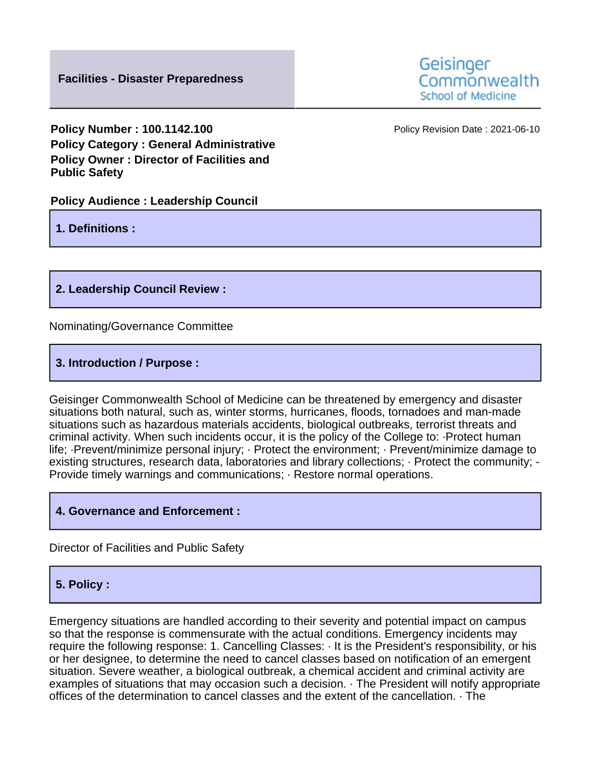**Policy Number : 100.1142.100 Policy Revision Date : 2021-06-10 Policy Category : General Administrative Policy Owner : Director of Facilities and Public Safety**

## **Policy Audience : Leadership Council**

**1. Definitions :**

**2. Leadership Council Review :**

Nominating/Governance Committee

**3. Introduction / Purpose :**

Geisinger Commonwealth School of Medicine can be threatened by emergency and disaster situations both natural, such as, winter storms, hurricanes, floods, tornadoes and man-made situations such as hazardous materials accidents, biological outbreaks, terrorist threats and criminal activity. When such incidents occur, it is the policy of the College to: ·Protect human life; ·Prevent/minimize personal injury; · Protect the environment; · Prevent/minimize damage to existing structures, research data, laboratories and library collections; · Protect the community; - Provide timely warnings and communications; · Restore normal operations.

## **4. Governance and Enforcement :**

Director of Facilities and Public Safety

## **5. Policy :**

Emergency situations are handled according to their severity and potential impact on campus so that the response is commensurate with the actual conditions. Emergency incidents may require the following response: 1. Cancelling Classes: · It is the President's responsibility, or his or her designee, to determine the need to cancel classes based on notification of an emergent situation. Severe weather, a biological outbreak, a chemical accident and criminal activity are examples of situations that may occasion such a decision. · The President will notify appropriate offices of the determination to cancel classes and the extent of the cancellation. · The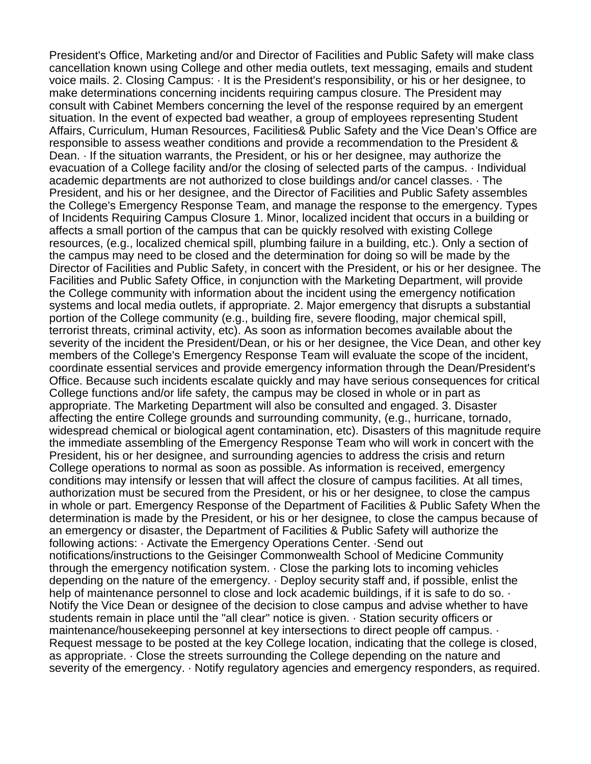President's Office, Marketing and/or and Director of Facilities and Public Safety will make class cancellation known using College and other media outlets, text messaging, emails and student voice mails. 2. Closing Campus: · It is the President's responsibility, or his or her designee, to make determinations concerning incidents requiring campus closure. The President may consult with Cabinet Members concerning the level of the response required by an emergent situation. In the event of expected bad weather, a group of employees representing Student Affairs, Curriculum, Human Resources, Facilities& Public Safety and the Vice Dean's Office are responsible to assess weather conditions and provide a recommendation to the President & Dean. · If the situation warrants, the President, or his or her designee, may authorize the evacuation of a College facility and/or the closing of selected parts of the campus. · Individual academic departments are not authorized to close buildings and/or cancel classes. · The President, and his or her designee, and the Director of Facilities and Public Safety assembles the College's Emergency Response Team, and manage the response to the emergency. Types of Incidents Requiring Campus Closure 1. Minor, localized incident that occurs in a building or affects a small portion of the campus that can be quickly resolved with existing College resources, (e.g., localized chemical spill, plumbing failure in a building, etc.). Only a section of the campus may need to be closed and the determination for doing so will be made by the Director of Facilities and Public Safety, in concert with the President, or his or her designee. The Facilities and Public Safety Office, in conjunction with the Marketing Department, will provide the College community with information about the incident using the emergency notification systems and local media outlets, if appropriate. 2. Major emergency that disrupts a substantial portion of the College community (e.g., building fire, severe flooding, major chemical spill, terrorist threats, criminal activity, etc). As soon as information becomes available about the severity of the incident the President/Dean, or his or her designee, the Vice Dean, and other key members of the College's Emergency Response Team will evaluate the scope of the incident, coordinate essential services and provide emergency information through the Dean/President's Office. Because such incidents escalate quickly and may have serious consequences for critical College functions and/or life safety, the campus may be closed in whole or in part as appropriate. The Marketing Department will also be consulted and engaged. 3. Disaster affecting the entire College grounds and surrounding community, (e.g., hurricane, tornado, widespread chemical or biological agent contamination, etc). Disasters of this magnitude require the immediate assembling of the Emergency Response Team who will work in concert with the President, his or her designee, and surrounding agencies to address the crisis and return College operations to normal as soon as possible. As information is received, emergency conditions may intensify or lessen that will affect the closure of campus facilities. At all times, authorization must be secured from the President, or his or her designee, to close the campus in whole or part. Emergency Response of the Department of Facilities & Public Safety When the determination is made by the President, or his or her designee, to close the campus because of an emergency or disaster, the Department of Facilities & Public Safety will authorize the following actions: · Activate the Emergency Operations Center. ·Send out notifications/instructions to the Geisinger Commonwealth School of Medicine Community through the emergency notification system. · Close the parking lots to incoming vehicles depending on the nature of the emergency. · Deploy security staff and, if possible, enlist the help of maintenance personnel to close and lock academic buildings, if it is safe to do so.  $\cdot$ Notify the Vice Dean or designee of the decision to close campus and advise whether to have students remain in place until the "all clear" notice is given. · Station security officers or maintenance/housekeeping personnel at key intersections to direct people off campus. · Request message to be posted at the key College location, indicating that the college is closed, as appropriate. · Close the streets surrounding the College depending on the nature and severity of the emergency. · Notify regulatory agencies and emergency responders, as required.